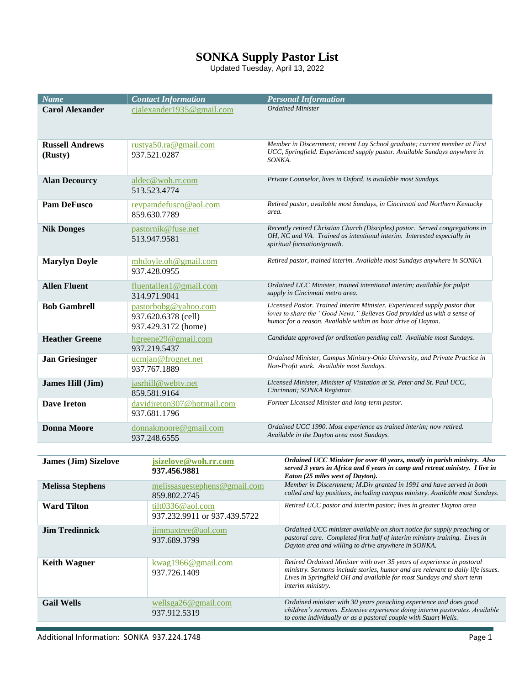## **SONKA Supply Pastor List**

Updated Tuesday, April 13, 2022

| <b>Name</b>                       | <b>Contact Information</b>                                         | <b>Personal Information</b>                                                                                                                                                                                            |
|-----------------------------------|--------------------------------------------------------------------|------------------------------------------------------------------------------------------------------------------------------------------------------------------------------------------------------------------------|
| <b>Carol Alexander</b>            | cjalexander1935@gmail.com                                          | <b>Ordained Minister</b>                                                                                                                                                                                               |
|                                   |                                                                    |                                                                                                                                                                                                                        |
| <b>Russell Andrews</b><br>(Rusty) | rustya50.ra@gmail.com<br>937.521.0287                              | Member in Discernment; recent Lay School graduate; current member at First<br>UCC, Springfield. Experienced supply pastor. Available Sundays anywhere in<br>SONKA.                                                     |
| <b>Alan Decourcy</b>              | aldec@woh.rr.com<br>513.523.4774                                   | Private Counselor, lives in Oxford, is available most Sundays.                                                                                                                                                         |
| <b>Pam DeFusco</b>                | revpamdefusco@aol.com<br>859.630.7789                              | Retired pastor, available most Sundays, in Cincinnati and Northern Kentucky<br>area.                                                                                                                                   |
| <b>Nik Donges</b>                 | pastornik@fuse.net<br>513.947.9581                                 | Recently retired Christian Church (Disciples) pastor. Served congregations in<br>OH, NC and VA. Trained as intentional interim. Interested especially in<br>spiritual formation/growth.                                |
| <b>Marylyn Doyle</b>              | $mhdoyle.$ oh $@gmail.com$<br>937.428.0955                         | Retired pastor, trained interim. Available most Sundays anywhere in SONKA                                                                                                                                              |
| <b>Allen Fluent</b>               | fluentallen1@gmail.com<br>314.971.9041                             | Ordained UCC Minister, trained intentional interim; available for pulpit<br>supply in Cincinnati metro area.                                                                                                           |
| <b>Bob Gambrell</b>               | pastorbobg@yahoo.com<br>937.620.6378 (cell)<br>937.429.3172 (home) | Licensed Pastor. Trained Interim Minister. Experienced supply pastor that<br>loves to share the "Good News." Believes God provided us with a sense of<br>humor for a reason. Available within an hour drive of Dayton. |
| <b>Heather Greene</b>             | hgreene29@gmail.com<br>937.219.5437                                | Candidate approved for ordination pending call. Available most Sundays.                                                                                                                                                |
| <b>Jan Griesinger</b>             | ucmjan@frognet.net<br>937.767.1889                                 | Ordained Minister, Campus Ministry-Ohio University, and Private Practice in<br>Non-Profit work. Available most Sundays.                                                                                                |
| James Hill (Jim)                  | jasrhill@webtv.net<br>859.581.9164                                 | Licensed Minister, Minister of Visitation at St. Peter and St. Paul UCC,<br>Cincinnati; SONKA Registrar.                                                                                                               |
| <b>Dave Ireton</b>                | davidireton307@hotmail.com<br>937.681.1796                         | Former Licensed Minister and long-term pastor.                                                                                                                                                                         |
| <b>Donna Moore</b>                | donnakmoore@gmail.com<br>937.248.6555                              | Ordained UCC 1990. Most experience as trained interim; now retired.<br>Available in the Dayton area most Sundays.                                                                                                      |

| <b>James (Jim) Sizelove</b> | jsizelove@woh.rr.com<br>937.456.9881             | Ordained UCC Minister for over 40 years, mostly in parish ministry. Also<br>served 3 years in Africa and 6 years in camp and retreat ministry. I live in<br>Eaton (25 miles west of Dayton).                                                            |
|-----------------------------|--------------------------------------------------|---------------------------------------------------------------------------------------------------------------------------------------------------------------------------------------------------------------------------------------------------------|
| <b>Melissa Stephens</b>     | melissasuestephens@gmail.com<br>859.802.2745     | Member in Discernment; M.Div granted in 1991 and have served in both<br>called and lay positions, including campus ministry. Available most Sundays.                                                                                                    |
| <b>Ward Tilton</b>          | tilt0336@aol.com<br>937.232.9911 or 937.439.5722 | Retired UCC pastor and interim pastor; lives in greater Dayton area                                                                                                                                                                                     |
| <b>Jim Tredinnick</b>       | jimmaxtree@aol.com<br>937.689.3799               | Ordained UCC minister available on short notice for supply preaching or<br>pastoral care. Completed first half of interim ministry training. Lives in<br>Dayton area and willing to drive anywhere in SONKA.                                            |
| <b>Keith Wagner</b>         | kwaq1966@gmail.com<br>937.726.1409               | Retired Ordained Minister with over 35 years of experience in pastoral<br>ministry. Sermons include stories, humor and are relevant to daily life issues.<br>Lives in Springfield OH and available for most Sundays and short term<br>interim ministry. |
| <b>Gail Wells</b>           | wellsga26@gmail.com<br>937.912.5319              | Ordained minister with 30 years preaching experience and does good<br>children's sermons. Extensive experience doing interim pastorates. Available<br>to come individually or as a pastoral couple with Stuart Wells.                                   |